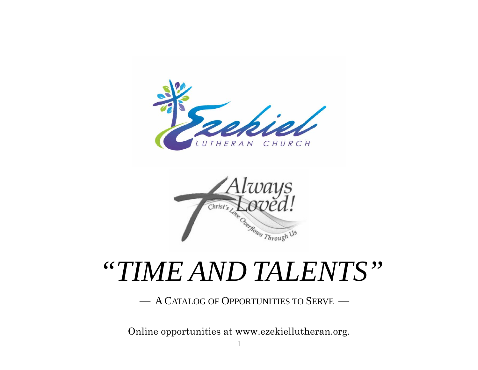



## *"TIME AND TALENTS"*

— A CATALOG OF OPPORTUNITIES TO SERVE —

Online opportunities at www.ezekiellutheran.org.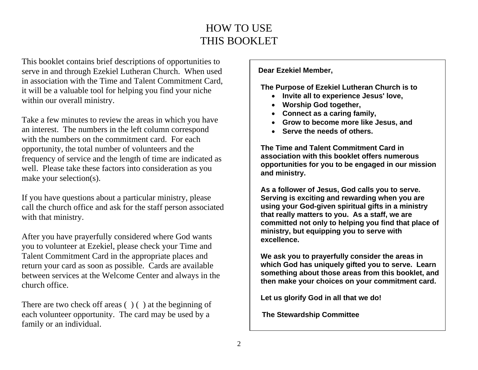## HOW TO USE THIS BOOKLET

This booklet contains brief descriptions of opportunities to serve in and through Ezekiel Lutheran Church. When used in association with the Time and Talent Commitment Card, it will be a valuable tool for helping you find your niche within our overall ministry.

Take a few minutes to review the areas in which you have an interest. The numbers in the left column correspond with the numbers on the commitment card. For each opportunity, the total number of volunteers and the frequency of service and the length of time are indicated as well. Please take these factors into consideration as you make your selection(s).

If you have questions about a particular ministry, please call the church office and ask for the staff person associated with that ministry.

After you have prayerfully considered where God wants you to volunteer at Ezekiel, please check your Time and Talent Commitment Card in the appropriate places and return your card as soon as possible. Cards are available between services at the Welcome Center and always in the church office.

There are two check off areas () () at the beginning of each volunteer opportunity. The card may be used by a family or an individual.

**Dear Ezekiel Member,** 

**The Purpose of Ezekiel Lutheran Church is to** 

- **Invite all to experience Jesus' love,**
- **Worship God together,**
- **Connect as a caring family,**
- **Grow to become more like Jesus, and**
- **Serve the needs of others.**

**The Time and Talent Commitment Card in association with this booklet offers numerous opportunities for you to be engaged in our mission and ministry.** 

**As a follower of Jesus, God calls you to serve. Serving is exciting and rewarding when you are using your God-given spiritual gifts in a ministry that really matters to you. As a staff, we are committed not only to helping you find that place of ministry, but equipping you to serve with excellence.** 

**We ask you to prayerfully consider the areas in which God has uniquely gifted you to serve. Learn something about those areas from this booklet, and then make your choices on your commitment card.** 

**Let us glorify God in all that we do!** 

 **The Stewardship Committee**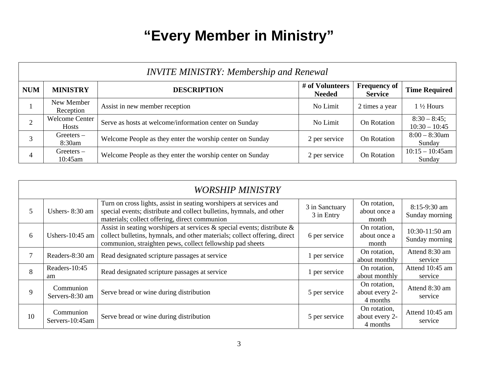## **"Every Member in Ministry"**

|            | <b>INVITE MINISTRY: Membership and Renewal</b> |                                                           |                                  |                                       |                                   |  |  |  |  |
|------------|------------------------------------------------|-----------------------------------------------------------|----------------------------------|---------------------------------------|-----------------------------------|--|--|--|--|
| <b>NUM</b> | <b>MINISTRY</b>                                | <b>DESCRIPTION</b>                                        | # of Volunteers<br><b>Needed</b> | <b>Frequency of</b><br><b>Service</b> | <b>Time Required</b>              |  |  |  |  |
|            | New Member<br>Reception                        | Assist in new member reception                            | No Limit                         | 2 times a year                        | $1\frac{1}{2}$ Hours              |  |  |  |  |
| 2          | <b>Welcome Center</b><br><b>Hosts</b>          | Serve as hosts at welcome/information center on Sunday    | No Limit                         | On Rotation                           | $8:30 - 8:45;$<br>$10:30 - 10:45$ |  |  |  |  |
|            | $G$ reeters $-$<br>8:30am                      | Welcome People as they enter the worship center on Sunday | 2 per service                    | On Rotation                           | $8:00 - 8:30$ am<br>Sunday        |  |  |  |  |
| 4          | $G$ reeters $-$<br>10:45am                     | Welcome People as they enter the worship center on Sunday | 2 per service                    | On Rotation                           | $10:15 - 10:45$ am<br>Sunday      |  |  |  |  |

|    | <b>WORSHIP MINISTRY</b>      |                                                                                                                                                                                                                         |                              |                                            |                                    |  |  |  |  |  |
|----|------------------------------|-------------------------------------------------------------------------------------------------------------------------------------------------------------------------------------------------------------------------|------------------------------|--------------------------------------------|------------------------------------|--|--|--|--|--|
| 5  | Ushers-8:30 am               | Turn on cross lights, assist in seating worshipers at services and<br>special events; distribute and collect bulletins, hymnals, and other<br>materials; collect offering, direct communion                             | 3 in Sanctuary<br>3 in Entry | On rotation,<br>about once a<br>month      | $8:15-9:30$ am<br>Sunday morning   |  |  |  |  |  |
| 6  | Ushers- $10:45$ am           | Assist in seating worshipers at services $\&$ special events; distribute $\&$<br>collect bulletins, hymnals, and other materials; collect offering, direct<br>communion, straighten pews, collect fellowship pad sheets | 6 per service                | On rotation,<br>about once a<br>month      | $10:30-11:50$ am<br>Sunday morning |  |  |  |  |  |
| 7  | Readers-8:30 am              | Read designated scripture passages at service                                                                                                                                                                           | 1 per service                | On rotation,<br>about monthly              | Attend 8:30 am<br>service          |  |  |  |  |  |
| 8  | Readers-10:45<br>am          | Read designated scripture passages at service                                                                                                                                                                           | 1 per service                | On rotation,<br>about monthly              | Attend 10:45 am<br>service         |  |  |  |  |  |
| 9  | Communion<br>Servers-8:30 am | Serve bread or wine during distribution                                                                                                                                                                                 | 5 per service                | On rotation,<br>about every 2-<br>4 months | Attend 8:30 am<br>service          |  |  |  |  |  |
| 10 | Communion<br>Servers-10:45am | Serve bread or wine during distribution                                                                                                                                                                                 | 5 per service                | On rotation,<br>about every 2-<br>4 months | Attend 10:45 am<br>service         |  |  |  |  |  |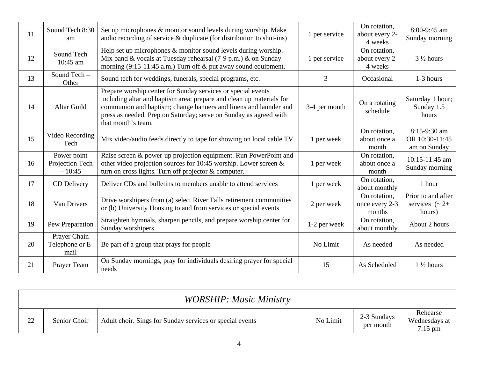| 11 | Sound Tech 8:30<br>am                      | Set up microphones & monitor sound levels during worship. Make<br>audio recording of service & duplicate (for distribution to shut-ins)                                                                                                                                                             | 1 per service | On rotation,<br>about every 2-<br>4 weeks | 8:00-9:45 am<br>Sunday morning                        |
|----|--------------------------------------------|-----------------------------------------------------------------------------------------------------------------------------------------------------------------------------------------------------------------------------------------------------------------------------------------------------|---------------|-------------------------------------------|-------------------------------------------------------|
| 12 | Sound Tech<br>$10:45$ am                   | Help set up microphones & monitor sound levels during worship.<br>Mix band & vocals at Tuesday rehearsal (7-9 p.m.) & on Sunday<br>morning (9:15-11:45 a.m.) Turn off & put away sound equipment.                                                                                                   | 1 per service | On rotation,<br>about every 2-<br>4 weeks | $3\frac{1}{2}$ hours                                  |
| 13 | Sound Tech -<br>Other                      | Sound tech for weddings, funerals, special programs, etc.                                                                                                                                                                                                                                           | 3             | Occasional                                | 1-3 hours                                             |
| 14 | <b>Altar Guild</b>                         | Prepare worship center for Sunday services or special events<br>including altar and baptism area; prepare and clean up materials for<br>communion and baptism; change banners and linens and launder and<br>press as needed. Prep on Saturday; serve on Sunday as agreed with<br>that month's team. | 3-4 per month | On a rotating<br>schedule                 | Saturday 1 hour;<br>Sunday 1.5<br>hours               |
| 15 | Video Recording<br>Tech                    | Mix video/audio feeds directly to tape for showing on local cable TV                                                                                                                                                                                                                                | 1 per week    | On rotation,<br>about once a<br>month     | 8:15-9:30 am<br>OR 10:30-11:45<br>am on Sunday        |
| 16 | Power point<br>Projection Tech<br>$-10:45$ | Raise screen & power-up projection equipment. Run PowerPoint and<br>other video projection sources for 10:45 worship. Lower screen $\&$<br>turn on cross lights. Turn off projector & computer.                                                                                                     | 1 per week    | On rotation,<br>about once a<br>month     | 10:15-11:45 am<br>Sunday morning                      |
| 17 | CD Delivery                                | Deliver CDs and bulletins to members unable to attend services                                                                                                                                                                                                                                      | 1 per week    | On rotation,<br>about monthly             | 1 hour                                                |
| 18 | Van Drivers                                | Drive worshipers from (a) select River Falls retirement communities<br>or (b) University Housing to and from services or special events                                                                                                                                                             | 2 per week    | On rotation,<br>once every 2-3<br>months  | Prior to and after<br>services $({\sim} 2+$<br>hours) |
| 19 | Pew Preparation                            | Straighten hymnals, sharpen pencils, and prepare worship center for<br>Sunday worshipers                                                                                                                                                                                                            | 1-2 per week  | On rotation,<br>about monthly             | About 2 hours                                         |
| 20 | Prayer Chain<br>Telephone or E-<br>mail    | Be part of a group that prays for people                                                                                                                                                                                                                                                            | No Limit      | As needed                                 | As needed                                             |
| 21 | Prayer Team                                | On Sunday mornings, pray for individuals desiring prayer for special<br>needs                                                                                                                                                                                                                       | 15            | As Scheduled                              | $1\frac{1}{2}$ hours                                  |

|    |              | <b>WORSHIP: Music Ministry</b>                           |          |                          |                                        |
|----|--------------|----------------------------------------------------------|----------|--------------------------|----------------------------------------|
| 22 | Senior Choir | Adult choir. Sings for Sunday services or special events | No Limit | 2-3 Sundays<br>per month | Rehearse<br>Wednesdays at<br>$7:15$ pm |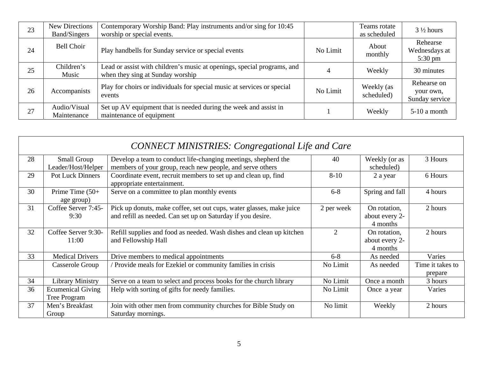| 23 | New Directions<br><b>Band/Singers</b> | Contemporary Worship Band: Play instruments and/or sing for 10:45<br>worship or special events.             |          | Teams rotate<br>as scheduled | $3\frac{1}{2}$ hours                           |
|----|---------------------------------------|-------------------------------------------------------------------------------------------------------------|----------|------------------------------|------------------------------------------------|
| 24 | <b>Bell Choir</b>                     | Play handbells for Sunday service or special events                                                         | No Limit | About<br>monthly             | Rehearse<br>Wednesdays at<br>$5:30 \text{ pm}$ |
| 25 | Children's<br>Music                   | Lead or assist with children's music at openings, special programs, and<br>when they sing at Sunday worship |          | Weekly                       | 30 minutes                                     |
| 26 | Accompanists                          | Play for choirs or individuals for special music at services or special<br>events                           | No Limit | Weekly (as<br>scheduled)     | Rehearse on<br>your own,<br>Sunday service     |
| 27 | Audio/Visual<br>Maintenance           | Set up AV equipment that is needed during the week and assist in<br>maintenance of equipment                |          | Weekly                       | 5-10 a month                                   |

|    | <b>CONNECT MINISTRIES: Congregational Life and Care</b> |                                                                                                                                     |                |                                            |                             |  |  |  |  |
|----|---------------------------------------------------------|-------------------------------------------------------------------------------------------------------------------------------------|----------------|--------------------------------------------|-----------------------------|--|--|--|--|
| 28 | Small Group<br>Leader/Host/Helper                       | Develop a team to conduct life-changing meetings, shepherd the<br>members of your group, reach new people, and serve others         | 40             | Weekly (or as<br>scheduled)                | 3 Hours                     |  |  |  |  |
| 29 | <b>Pot Luck Dinners</b>                                 | Coordinate event, recruit members to set up and clean up, find<br>appropriate entertainment.                                        | $8-10$         | 2 a year                                   | 6 Hours                     |  |  |  |  |
| 30 | Prime Time (50+<br>age group)                           | Serve on a committee to plan monthly events                                                                                         | $6 - 8$        | Spring and fall                            | 4 hours                     |  |  |  |  |
| 31 | Coffee Server 7:45-<br>9:30                             | Pick up donuts, make coffee, set out cups, water glasses, make juice<br>and refill as needed. Can set up on Saturday if you desire. | 2 per week     | On rotation,<br>about every 2-<br>4 months | 2 hours                     |  |  |  |  |
| 32 | Coffee Server 9:30-<br>11:00                            | Refill supplies and food as needed. Wash dishes and clean up kitchen<br>and Fellowship Hall                                         | $\mathfrak{D}$ | On rotation,<br>about every 2-<br>4 months | 2 hours                     |  |  |  |  |
| 33 | <b>Medical Drivers</b>                                  | Drive members to medical appointments                                                                                               | $6 - 8$        | As needed                                  | Varies                      |  |  |  |  |
|    | Casserole Group                                         | Provide meals for Ezekiel or community families in crisis                                                                           | No Limit       | As needed                                  | Time it takes to<br>prepare |  |  |  |  |
| 34 | <b>Library Ministry</b>                                 | Serve on a team to select and process books for the church library                                                                  | No Limit       | Once a month                               | 3 hours                     |  |  |  |  |
| 36 | <b>Ecumenical Giving</b><br>Tree Program                | Help with sorting of gifts for needy families.                                                                                      | No Limit       | Once a year                                | Varies                      |  |  |  |  |
| 37 | Men's Breakfast<br>Group                                | Join with other men from community churches for Bible Study on<br>Saturday mornings.                                                | No limit       | Weekly                                     | 2 hours                     |  |  |  |  |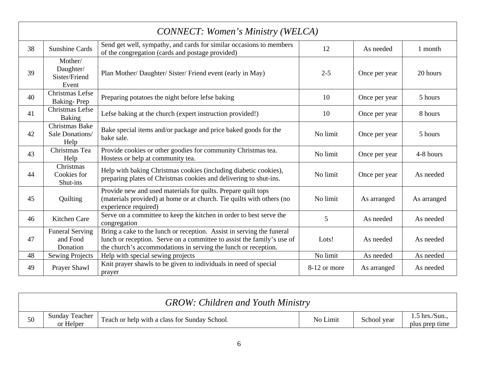| <b>CONNECT: Women's Ministry (WELCA)</b> |                                                  |                                                                                                                                                                                                                   |              |               |             |  |  |  |
|------------------------------------------|--------------------------------------------------|-------------------------------------------------------------------------------------------------------------------------------------------------------------------------------------------------------------------|--------------|---------------|-------------|--|--|--|
| 38                                       | <b>Sunshine Cards</b>                            | Send get well, sympathy, and cards for similar occasions to members<br>of the congregation (cards and postage provided)                                                                                           | 12           | As needed     | 1 month     |  |  |  |
| 39                                       | Mother/<br>Daughter/<br>Sister/Friend<br>Event   | Plan Mother/Daughter/Sister/Friend event (early in May)                                                                                                                                                           | $2 - 5$      | Once per year | 20 hours    |  |  |  |
| 40                                       | Christmas Lefse<br>Baking-Prep                   | Preparing potatoes the night before lefse baking                                                                                                                                                                  | 10           | Once per year | 5 hours     |  |  |  |
| 41                                       | Christmas Lefse<br><b>Baking</b>                 | Lefse baking at the church (expert instruction provided!)                                                                                                                                                         | 10           | Once per year | 8 hours     |  |  |  |
| 42                                       | <b>Christmas Bake</b><br>Sale Donations/<br>Help | Bake special items and/or package and price baked goods for the<br>bake sale.                                                                                                                                     | No limit     | Once per year | 5 hours     |  |  |  |
| 43                                       | Christmas Tea<br>Help                            | Provide cookies or other goodies for community Christmas tea.<br>Hostess or help at community tea.                                                                                                                | No limit     | Once per year | 4-8 hours   |  |  |  |
| 44                                       | Christmas<br>Cookies for<br>Shut-ins             | Help with baking Christmas cookies (including diabetic cookies),<br>preparing plates of Christmas cookies and delivering to shut-ins.                                                                             | No limit     | Once per year | As needed   |  |  |  |
| 45                                       | Quilting                                         | Provide new and used materials for quilts. Prepare quilt tops<br>(materials provided) at home or at church. Tie quilts with others (no<br>experience required)                                                    | No limit     | As arranged   | As arranged |  |  |  |
| 46                                       | Kitchen Care                                     | Serve on a committee to keep the kitchen in order to best serve the<br>congregation                                                                                                                               | 5            | As needed     | As needed   |  |  |  |
| 47                                       | <b>Funeral Serving</b><br>and Food<br>Donation   | Bring a cake to the lunch or reception. Assist in serving the funeral<br>lunch or reception. Serve on a committee to assist the family's use of<br>the church's accommodations in serving the lunch or reception. | Lots!        | As needed     | As needed   |  |  |  |
| 48                                       | <b>Sewing Projects</b>                           | Help with special sewing projects                                                                                                                                                                                 | No limit     | As needed     | As needed   |  |  |  |
| 49                                       | Prayer Shawl                                     | Knit prayer shawls to be given to individuals in need of special<br>prayer                                                                                                                                        | 8-12 or more | As arranged   | As needed   |  |  |  |

|    |                                    | <b>GROW: Children and Youth Ministry</b>      |          |             |                                              |
|----|------------------------------------|-----------------------------------------------|----------|-------------|----------------------------------------------|
| 50 | <b>Sunday Teacher</b><br>or Helper | Teach or help with a class for Sunday School. | No Limit | School year | $\frac{1}{1}$ 5 hrs./Sun.,<br>plus prep time |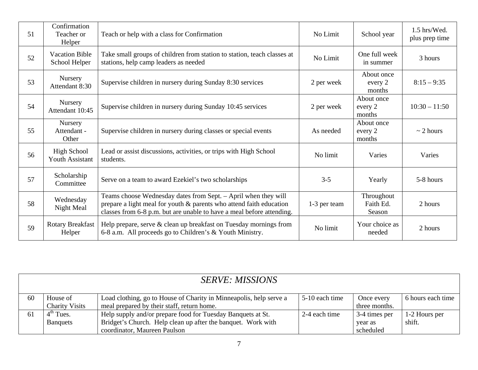| 51 | Confirmation<br>Teacher or<br>Helper         | Teach or help with a class for Confirmation                                                                                                                                                                    | No Limit     | School year                       | $1.5$ hrs/Wed.<br>plus prep time |
|----|----------------------------------------------|----------------------------------------------------------------------------------------------------------------------------------------------------------------------------------------------------------------|--------------|-----------------------------------|----------------------------------|
| 52 | <b>Vacation Bible</b><br>School Helper       | Take small groups of children from station to station, teach classes at<br>stations, help camp leaders as needed                                                                                               | No Limit     | One full week<br>in summer        | 3 hours                          |
| 53 | Nursery<br>Attendant 8:30                    | Supervise children in nursery during Sunday 8:30 services                                                                                                                                                      | 2 per week   | About once<br>every 2<br>months   | $8:15 - 9:35$                    |
| 54 | Nursery<br>Attendant 10:45                   | Supervise children in nursery during Sunday 10:45 services                                                                                                                                                     | 2 per week   | About once<br>every 2<br>months   | $10:30 - 11:50$                  |
| 55 | Nursery<br>Attendant -<br>Other              | Supervise children in nursery during classes or special events                                                                                                                                                 | As needed    | About once<br>every 2<br>months   | $\sim$ 2 hours                   |
| 56 | <b>High School</b><br><b>Youth Assistant</b> | Lead or assist discussions, activities, or trips with High School<br>students.                                                                                                                                 | No limit     | Varies                            | Varies                           |
| 57 | Scholarship<br>Committee                     | Serve on a team to award Ezekiel's two scholarships                                                                                                                                                            | $3 - 5$      | Yearly                            | 5-8 hours                        |
| 58 | Wednesday<br>Night Meal                      | Teams choose Wednesday dates from Sept. - April when they will<br>prepare a light meal for youth & parents who attend faith education<br>classes from 6-8 p.m. but are unable to have a meal before attending. | 1-3 per team | Throughout<br>Faith Ed.<br>Season | 2 hours                          |
| 59 | <b>Rotary Breakfast</b><br>Helper            | Help prepare, serve & clean up breakfast on Tuesday mornings from<br>6-8 a.m. All proceeds go to Children's & Youth Ministry.                                                                                  | No limit     | Your choice as<br>needed          | 2 hours                          |

|    |                       | <b>SERVE: MISSIONS</b>                                             |                |               |                   |
|----|-----------------------|--------------------------------------------------------------------|----------------|---------------|-------------------|
| 60 | House of              | Load clothing, go to House of Charity in Minneapolis, help serve a | 5-10 each time | Once every    | 6 hours each time |
|    | <b>Charity Visits</b> | meal prepared by their staff, return home.                         |                | three months. |                   |
| 61 | $4th$ Tues.           | Help supply and/or prepare food for Tuesday Banquets at St.        | 2-4 each time  | 3-4 times per | 1-2 Hours per     |
|    | <b>Banquets</b>       | Bridget's Church. Help clean up after the banquet. Work with       |                | year as       | shift.            |
|    |                       | coordinator, Maureen Paulson                                       |                | scheduled     |                   |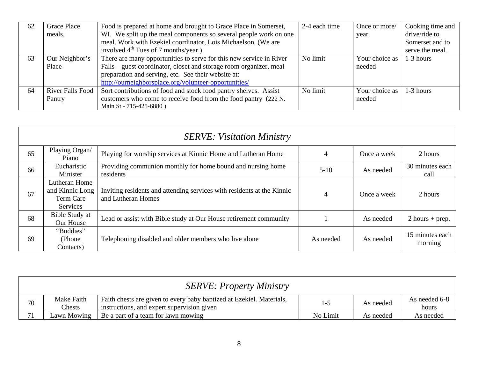| 62 | <b>Grace Place</b> | Food is prepared at home and brought to Grace Place in Somerset,    | 2-4 each time | Once or more/  | Cooking time and |
|----|--------------------|---------------------------------------------------------------------|---------------|----------------|------------------|
|    | meals.             | WI. We split up the meal components so several people work on one   |               | year.          | drive/ride to    |
|    |                    | meal. Work with Ezekiel coordinator, Lois Michaelson. (We are       |               |                | Somerset and to  |
|    |                    | involved $4th$ Tues of 7 months/year.)                              |               |                | serve the meal.  |
| 63 | Our Neighbor's     | There are many opportunities to serve for this new service in River | No limit      | Your choice as | 1-3 hours        |
|    | Place              | Falls – guest coordinator, closet and storage room organizer, meal  |               | needed         |                  |
|    |                    | preparation and serving, etc. See their website at:                 |               |                |                  |
|    |                    | http://ourneighborsplace.org/volunteer-opportunities/               |               |                |                  |
| 64 | River Falls Food   | Sort contributions of food and stock food pantry shelves. Assist    | No limit      | Your choice as | 1-3 hours        |
|    | Pantry             | customers who come to receive food from the food pantry (222 N.     |               | needed         |                  |
|    |                    | Main St - 715-425-6880)                                             |               |                |                  |

|    | <b>SERVE: Visitation Ministry</b>                         |                                                                                              |                |             |                            |  |  |  |  |  |
|----|-----------------------------------------------------------|----------------------------------------------------------------------------------------------|----------------|-------------|----------------------------|--|--|--|--|--|
| 65 | Playing Organ/<br>Piano                                   | Playing for worship services at Kinnic Home and Lutheran Home                                | 4              | Once a week | 2 hours                    |  |  |  |  |  |
| 66 | Eucharistic<br>Minister                                   | Providing communion monthly for home bound and nursing home<br>residents                     | $5 - 10$       | As needed   | 30 minutes each<br>call    |  |  |  |  |  |
| 67 | Lutheran Home<br>and Kinnic Long<br>Term Care<br>Services | Inviting residents and attending services with residents at the Kinnic<br>and Lutheran Homes | $\overline{4}$ | Once a week | 2 hours                    |  |  |  |  |  |
| 68 | Bible Study at<br>Our House                               | Lead or assist with Bible study at Our House retirement community                            |                | As needed   | $2$ hours + prep.          |  |  |  |  |  |
| 69 | "Buddies"<br>(Phone)<br>Contacts)                         | Telephoning disabled and older members who live alone                                        | As needed      | As needed   | 15 minutes each<br>morning |  |  |  |  |  |

| <b>SERVE: Property Ministry</b> |                      |                                                                                                                    |          |           |                        |  |  |
|---------------------------------|----------------------|--------------------------------------------------------------------------------------------------------------------|----------|-----------|------------------------|--|--|
| 70                              | Make Faith<br>Chests | Faith chests are given to every baby baptized at Ezekiel. Materials,<br>instructions, and expert supervision given | $1 - 5$  | As needed | As needed 6-8<br>hours |  |  |
|                                 | Lawn Mowing          | Be a part of a team for lawn mowing                                                                                | No Limit | As needed | As needed              |  |  |